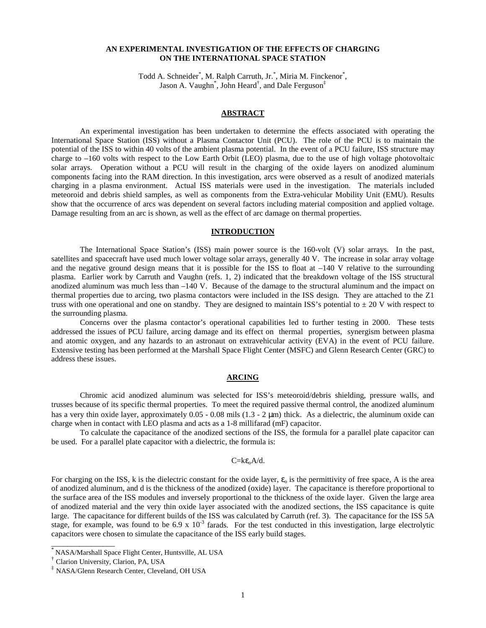## **AN EXPERIMENTAL INVESTIGATION OF THE EFFECTS OF CHARGING ON THE INTERNATIONAL SPACE STATION**

Todd A. Schneider<sup>\*</sup>, M. Ralph Carruth, Jr.<sup>\*</sup>, Miria M. Finckenor<sup>\*</sup>, Jason A. Vaughn<sup>\*</sup>, John Heard<sup>†</sup>, and Dale Ferguson<sup>‡</sup>

## **ABSTRACT**

An experimental investigation has been undertaken to determine the effects associated with operating the International Space Station (ISS) without a Plasma Contactor Unit (PCU). The role of the PCU is to maintain the potential of the ISS to within 40 volts of the ambient plasma potential. In the event of a PCU failure, ISS structure may charge to –160 volts with respect to the Low Earth Orbit (LEO) plasma, due to the use of high voltage photovoltaic solar arrays. Operation without a PCU will result in the charging of the oxide layers on anodized aluminum components facing into the RAM direction. In this investigation, arcs were observed as a result of anodized materials charging in a plasma environment. Actual ISS materials were used in the investigation. The materials included meteoroid and debris shield samples, as well as components from the Extra-vehicular Mobility Unit (EMU). Results show that the occurrence of arcs was dependent on several factors including material composition and applied voltage. Damage resulting from an arc is shown, as well as the effect of arc damage on thermal properties.

## **INTRODUCTION**

The International Space Station's (ISS) main power source is the 160-volt (V) solar arrays. In the past, satellites and spacecraft have used much lower voltage solar arrays, generally 40 V. The increase in solar array voltage and the negative ground design means that it is possible for the ISS to float at  $-140$  V relative to the surrounding plasma. Earlier work by Carruth and Vaughn (refs. 1, 2) indicated that the breakdown voltage of the ISS structural anodized aluminum was much less than –140 V. Because of the damage to the structural aluminum and the impact on thermal properties due to arcing, two plasma contactors were included in the ISS design. They are attached to the Z1 truss with one operational and one on standby. They are designed to maintain ISS's potential to  $\pm 20$  V with respect to the surrounding plasma.

Concerns over the plasma contactor's operational capabilities led to further testing in 2000. These tests addressed the issues of PCU failure, arcing damage and its effect on thermal properties, synergism between plasma and atomic oxygen, and any hazards to an astronaut on extravehicular activity (EVA) in the event of PCU failure. Extensive testing has been performed at the Marshall Space Flight Center (MSFC) and Glenn Research Center (GRC) to address these issues.

### **ARCING**

Chromic acid anodized aluminum was selected for ISS's meteoroid/debris shielding, pressure walls, and trusses because of its specific thermal properties. To meet the required passive thermal control, the anodized aluminum has a very thin oxide layer, approximately 0.05 - 0.08 mils (1.3 - 2 µm) thick. As a dielectric, the aluminum oxide can charge when in contact with LEO plasma and acts as a 1-8 millifarad (mF) capacitor.

To calculate the capacitance of the anodized sections of the ISS, the formula for a parallel plate capacitor can be used. For a parallel plate capacitor with a dielectric, the formula is:

#### $C= k \varepsilon_0 A/d$ .

For charging on the ISS, k is the dielectric constant for the oxide layer,  $\varepsilon_0$  is the permittivity of free space, A is the area of anodized aluminum, and d is the thickness of the anodized (oxide) layer. The capacitance is therefore proportional to the surface area of the ISS modules and inversely proportional to the thickness of the oxide layer. Given the large area of anodized material and the very thin oxide layer associated with the anodized sections, the ISS capacitance is quite large. The capacitance for different builds of the ISS was calculated by Carruth (ref. 3). The capacitance for the ISS 5A stage, for example, was found to be 6.9 x  $10^{-3}$  farads. For the test conducted in this investigation, large electrolytic capacitors were chosen to simulate the capacitance of the ISS early build stages.

 $\overline{\phantom{a}}$  ,  $\overline{\phantom{a}}$  ,  $\overline{\phantom{a}}$  ,  $\overline{\phantom{a}}$  ,  $\overline{\phantom{a}}$  ,  $\overline{\phantom{a}}$  ,  $\overline{\phantom{a}}$  ,  $\overline{\phantom{a}}$  ,  $\overline{\phantom{a}}$  ,  $\overline{\phantom{a}}$  ,  $\overline{\phantom{a}}$  ,  $\overline{\phantom{a}}$  ,  $\overline{\phantom{a}}$  ,  $\overline{\phantom{a}}$  ,  $\overline{\phantom{a}}$  ,  $\overline{\phantom{a}}$ 

<sup>\*</sup> NASA/Marshall Space Flight Center, Huntsville, AL USA

<sup>†</sup> Clarion University, Clarion, PA, USA

<sup>‡</sup> NASA/Glenn Research Center, Cleveland, OH USA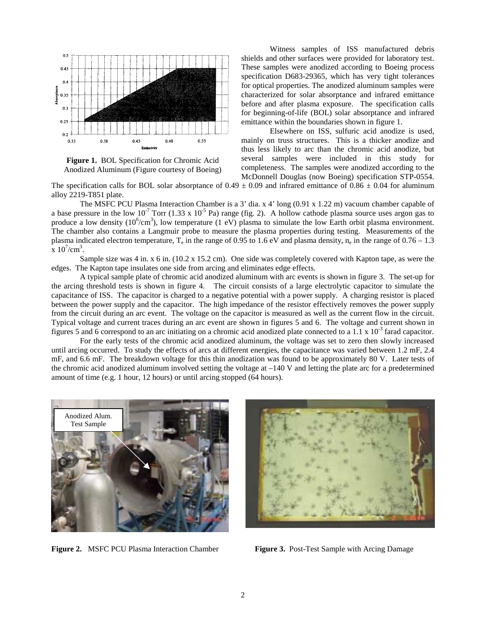

**Figure 1.** BOL Specification for Chromic Acid Anodized Aluminum (Figure courtesy of Boeing)

Witness samples of ISS manufactured debris shields and other surfaces were provided for laboratory test. These samples were anodized according to Boeing process specification D683-29365, which has very tight tolerances for optical properties. The anodized aluminum samples were characterized for solar absorptance and infrared emittance before and after plasma exposure. The specification calls for beginning-of-life (BOL) solar absorptance and infrared emittance within the boundaries shown in figure 1.

Elsewhere on ISS, sulfuric acid anodize is used, mainly on truss structures. This is a thicker anodize and thus less likely to arc than the chromic acid anodize, but several samples were included in this study for completeness. The samples were anodized according to the McDonnell Douglas (now Boeing) specification STP-0554.

The specification calls for BOL solar absorptance of  $0.49 \pm 0.09$  and infrared emittance of  $0.86 \pm 0.04$  for aluminum alloy 2219-T851 plate.

The MSFC PCU Plasma Interaction Chamber is a 3' dia. x 4' long (0.91 x 1.22 m) vacuum chamber capable of a base pressure in the low  $10^{-7}$  Torr (1.33 x  $10^{-5}$  Pa) range (fig. 2). A hollow cathode plasma source uses argon gas to produce a low density  $(10^6/cm^3)$ , low temperature  $(1 \text{ eV})$  plasma to simulate the low Earth orbit plasma environment. The chamber also contains a Langmuir probe to measure the plasma properties during testing. Measurements of the plasma indicated electron temperature,  $T_e$  in the range of 0.95 to 1.6 eV and plasma density,  $n_e$  in the range of 0.76 – 1.3  $\bar{x}$  10<sup>7</sup>/cm<sup>3</sup>.

Sample size was 4 in. x 6 in. (10.2 x 15.2 cm). One side was completely covered with Kapton tape, as were the edges. The Kapton tape insulates one side from arcing and eliminates edge effects.

A typical sample plate of chromic acid anodized aluminum with arc events is shown in figure 3. The set-up for the arcing threshold tests is shown in figure 4. The circuit consists of a large electrolytic capacitor to simulate the capacitance of ISS. The capacitor is charged to a negative potential with a power supply. A charging resistor is placed between the power supply and the capacitor. The high impedance of the resistor effectively removes the power supply from the circuit during an arc event. The voltage on the capacitor is measured as well as the current flow in the circuit. Typical voltage and current traces during an arc event are shown in figures 5 and 6. The voltage and current shown in figures 5 and 6 correspond to an arc initiating on a chromic acid anodized plate connected to a 1.1  $\times$  10<sup>-3</sup> farad capacitor.

For the early tests of the chromic acid anodized aluminum, the voltage was set to zero then slowly increased until arcing occurred. To study the effects of arcs at different energies, the capacitance was varied between 1.2 mF, 2.4 mF, and 6.6 mF. The breakdown voltage for this thin anodization was found to be approximately 80 V. Later tests of the chromic acid anodized aluminum involved setting the voltage at –140 V and letting the plate arc for a predetermined amount of time (e.g. 1 hour, 12 hours) or until arcing stopped (64 hours).



**Figure 2.** MSFC PCU Plasma Interaction Chamber **Figure 3.** Post-Test Sample with Arcing Damage

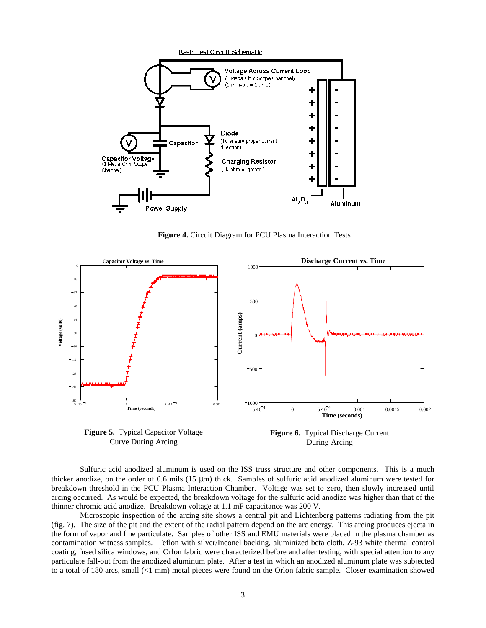

**Figure 4.** Circuit Diagram for PCU Plasma Interaction Tests



**Figure 5.** Typical Capacitor Voltage Curve During Arcing

**Figure 6.** Typical Discharge Current During Arcing

Sulfuric acid anodized aluminum is used on the ISS truss structure and other components. This is a much thicker anodize, on the order of 0.6 mils (15 µm) thick. Samples of sulfuric acid anodized aluminum were tested for breakdown threshold in the PCU Plasma Interaction Chamber. Voltage was set to zero, then slowly increased until arcing occurred. As would be expected, the breakdown voltage for the sulfuric acid anodize was higher than that of the thinner chromic acid anodize. Breakdown voltage at 1.1 mF capacitance was 200 V.

Microscopic inspection of the arcing site shows a central pit and Lichtenberg patterns radiating from the pit (fig. 7). The size of the pit and the extent of the radial pattern depend on the arc energy. This arcing produces ejecta in the form of vapor and fine particulate. Samples of other ISS and EMU materials were placed in the plasma chamber as contamination witness samples. Teflon with silver/Inconel backing, aluminized beta cloth, Z-93 white thermal control coating, fused silica windows, and Orlon fabric were characterized before and after testing, with special attention to any particulate fall-out from the anodized aluminum plate. After a test in which an anodized aluminum plate was subjected to a total of 180 arcs, small (<1 mm) metal pieces were found on the Orlon fabric sample. Closer examination showed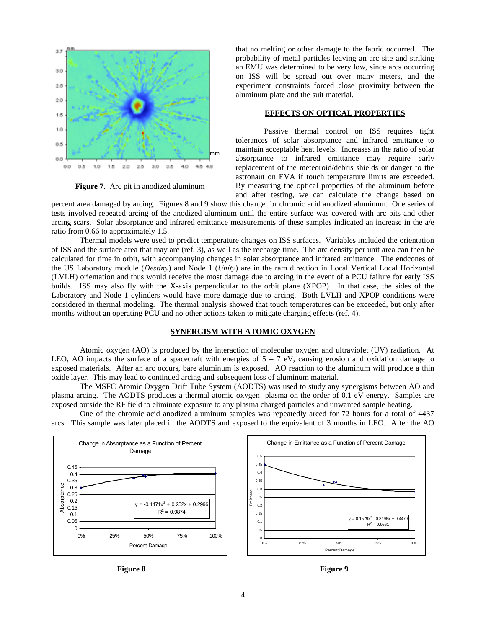

**Figure 7.** Arc pit in anodized aluminum

that no melting or other damage to the fabric occurred. The probability of metal particles leaving an arc site and striking an EMU was determined to be very low, since arcs occurring on ISS will be spread out over many meters, and the experiment constraints forced close proximity between the aluminum plate and the suit material.

# **EFFECTS ON OPTICAL PROPERTIES**

Passive thermal control on ISS requires tight tolerances of solar absorptance and infrared emittance to maintain acceptable heat levels. Increases in the ratio of solar absorptance to infrared emittance may require early replacement of the meteoroid/debris shields or danger to the astronaut on EVA if touch temperature limits are exceeded. By measuring the optical properties of the aluminum before and after testing, we can calculate the change based on

percent area damaged by arcing. Figures 8 and 9 show this change for chromic acid anodized aluminum. One series of tests involved repeated arcing of the anodized aluminum until the entire surface was covered with arc pits and other arcing scars. Solar absorptance and infrared emittance measurements of these samples indicated an increase in the a/e ratio from 0.66 to approximately 1.5.

Thermal models were used to predict temperature changes on ISS surfaces. Variables included the orientation of ISS and the surface area that may arc (ref. 3), as well as the recharge time. The arc density per unit area can then be calculated for time in orbit, with accompanying changes in solar absorptance and infrared emittance. The endcones of the US Laboratory module (*Destiny*) and Node 1 (*Unity*) are in the ram direction in Local Vertical Local Horizontal (LVLH) orientation and thus would receive the most damage due to arcing in the event of a PCU failure for early ISS builds. ISS may also fly with the X-axis perpendicular to the orbit plane (XPOP). In that case, the sides of the Laboratory and Node 1 cylinders would have more damage due to arcing. Both LVLH and XPOP conditions were considered in thermal modeling. The thermal analysis showed that touch temperatures can be exceeded, but only after months without an operating PCU and no other actions taken to mitigate charging effects (ref. 4).

# **SYNERGISM WITH ATOMIC OXYGEN**

Atomic oxygen (AO) is produced by the interaction of molecular oxygen and ultraviolet (UV) radiation. At LEO, AO impacts the surface of a spacecraft with energies of  $5 - 7$  eV, causing erosion and oxidation damage to exposed materials. After an arc occurs, bare aluminum is exposed. AO reaction to the aluminum will produce a thin oxide layer. This may lead to continued arcing and subsequent loss of aluminum material.

The MSFC Atomic Oxygen Drift Tube System (AODTS) was used to study any synergisms between AO and plasma arcing. The AODTS produces a thermal atomic oxygen plasma on the order of 0.1 eV energy. Samples are exposed outside the RF field to eliminate exposure to any plasma charged particles and unwanted sample heating.

One of the chromic acid anodized aluminum samples was repeatedly arced for 72 hours for a total of 4437 arcs. This sample was later placed in the AODTS and exposed to the equivalent of 3 months in LEO. After the AO



Figure 8 Figure 9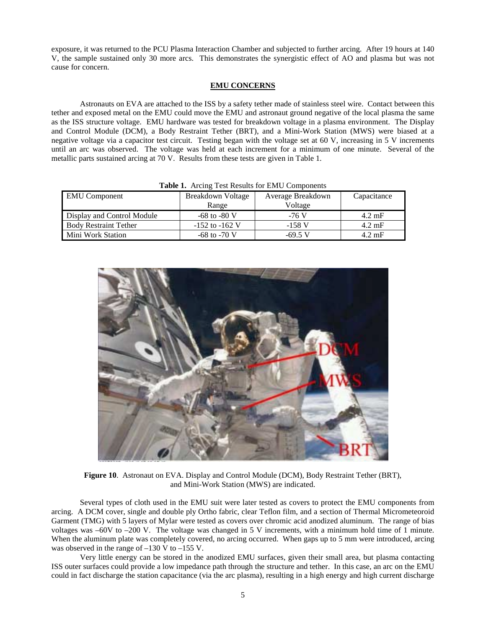exposure, it was returned to the PCU Plasma Interaction Chamber and subjected to further arcing. After 19 hours at 140 V, the sample sustained only 30 more arcs. This demonstrates the synergistic effect of AO and plasma but was not cause for concern.

### **EMU CONCERNS**

Astronauts on EVA are attached to the ISS by a safety tether made of stainless steel wire. Contact between this tether and exposed metal on the EMU could move the EMU and astronaut ground negative of the local plasma the same as the ISS structure voltage. EMU hardware was tested for breakdown voltage in a plasma environment. The Display and Control Module (DCM), a Body Restraint Tether (BRT), and a Mini-Work Station (MWS) were biased at a negative voltage via a capacitor test circuit. Testing began with the voltage set at 60 V, increasing in 5 V increments until an arc was observed. The voltage was held at each increment for a minimum of one minute. Several of the metallic parts sustained arcing at 70 V. Results from these tests are given in Table 1.

| <b>EMU</b> Component         | Breakdown Voltage  | Average Breakdown | Capacitance      |
|------------------------------|--------------------|-------------------|------------------|
|                              | Range              | Voltage           |                  |
| Display and Control Module   | $-68$ to $-80$ V   | -76 V             | $4.2 \text{ mF}$ |
| <b>Body Restraint Tether</b> | $-152$ to $-162$ V | $-158$ V          | $4.2 \text{ mF}$ |
| Mini Work Station            | $-68$ to $-70$ V   | $-69.5$ V         | $4.2 \text{ mF}$ |

**Table 1.** Arcing Test Results for EMU Components



**Figure 10**. Astronaut on EVA. Display and Control Module (DCM), Body Restraint Tether (BRT), and Mini-Work Station (MWS) are indicated.

Several types of cloth used in the EMU suit were later tested as covers to protect the EMU components from arcing. A DCM cover, single and double ply Ortho fabric, clear Teflon film, and a section of Thermal Micrometeoroid Garment (TMG) with 5 layers of Mylar were tested as covers over chromic acid anodized aluminum. The range of bias voltages was –60V to –200 V. The voltage was changed in 5 V increments, with a minimum hold time of 1 minute. When the aluminum plate was completely covered, no arcing occurred. When gaps up to 5 mm were introduced, arcing was observed in the range of  $-130$  V to  $-155$  V.

Very little energy can be stored in the anodized EMU surfaces, given their small area, but plasma contacting ISS outer surfaces could provide a low impedance path through the structure and tether. In this case, an arc on the EMU could in fact discharge the station capacitance (via the arc plasma), resulting in a high energy and high current discharge